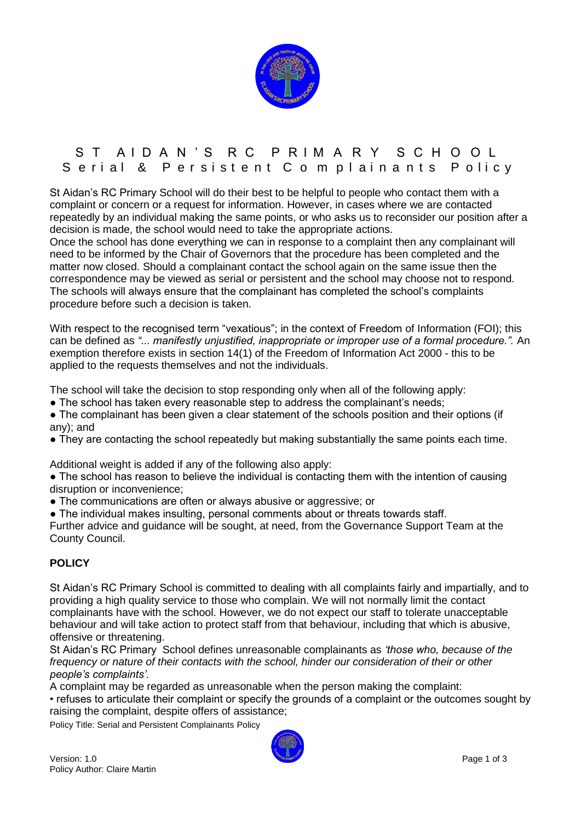

## S T A I D A N 'S R C P R I M A R Y S C H O O L S erial & Persistent C o m plainants Policy

St Aidan"s RC Primary School will do their best to be helpful to people who contact them with a complaint or concern or a request for information. However, in cases where we are contacted repeatedly by an individual making the same points, or who asks us to reconsider our position after a decision is made, the school would need to take the appropriate actions.

Once the school has done everything we can in response to a complaint then any complainant will need to be informed by the Chair of Governors that the procedure has been completed and the matter now closed. Should a complainant contact the school again on the same issue then the correspondence may be viewed as serial or persistent and the school may choose not to respond. The schools will always ensure that the complainant has completed the school"s complaints procedure before such a decision is taken.

With respect to the recognised term "vexatious"; in the context of Freedom of Information (FOI); this can be defined as *"... manifestly unjustified, inappropriate or improper use of a formal procedure.".* An exemption therefore exists in section 14(1) of the Freedom of Information Act 2000 - this to be applied to the requests themselves and not the individuals.

The school will take the decision to stop responding only when all of the following apply:

- The school has taken every reasonable step to address the complainant's needs;
- The complainant has been given a clear statement of the schools position and their options (if any); and
- They are contacting the school repeatedly but making substantially the same points each time.

Additional weight is added if any of the following also apply:

• The school has reason to believe the individual is contacting them with the intention of causing disruption or inconvenience;

● The communications are often or always abusive or aggressive; or

● The individual makes insulting, personal comments about or threats towards staff.

Further advice and guidance will be sought, at need, from the Governance Support Team at the County Council.

## **POLICY**

St Aidan"s RC Primary School is committed to dealing with all complaints fairly and impartially, and to providing a high quality service to those who complain. We will not normally limit the contact complainants have with the school. However, we do not expect our staff to tolerate unacceptable behaviour and will take action to protect staff from that behaviour, including that which is abusive, offensive or threatening.

St Aidan"s RC Primary School defines unreasonable complainants as *"those who, because of the frequency or nature of their contacts with the school, hinder our consideration of their or other people"s complaints".*

A complaint may be regarded as unreasonable when the person making the complaint:

• refuses to articulate their complaint or specify the grounds of a complaint or the outcomes sought by raising the complaint, despite offers of assistance;

Policy Title: Serial and Persistent Complainants Policy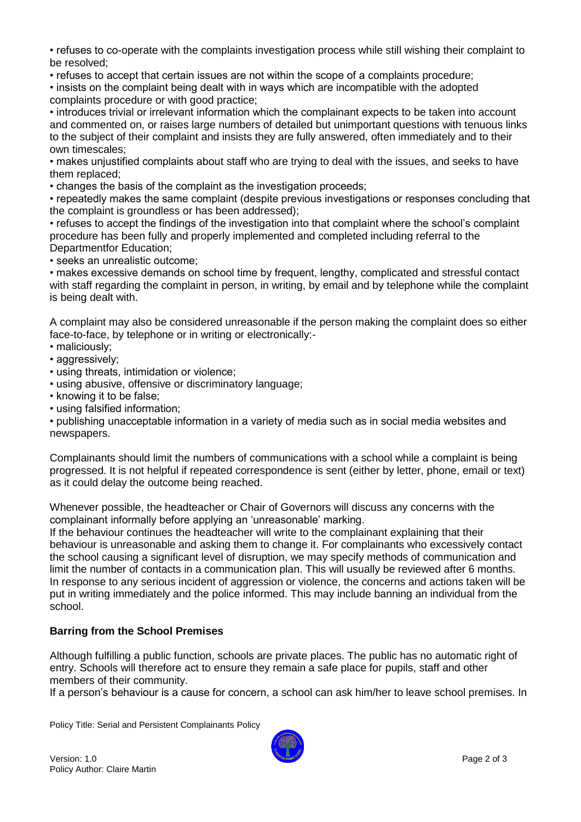• refuses to co-operate with the complaints investigation process while still wishing their complaint to be resolved;

• refuses to accept that certain issues are not within the scope of a complaints procedure;

• insists on the complaint being dealt with in ways which are incompatible with the adopted complaints procedure or with good practice;

• introduces trivial or irrelevant information which the complainant expects to be taken into account and commented on, or raises large numbers of detailed but unimportant questions with tenuous links to the subject of their complaint and insists they are fully answered, often immediately and to their own timescales;

• makes unjustified complaints about staff who are trying to deal with the issues, and seeks to have them replaced;

• changes the basis of the complaint as the investigation proceeds;

• repeatedly makes the same complaint (despite previous investigations or responses concluding that the complaint is groundless or has been addressed);

• refuses to accept the findings of the investigation into that complaint where the school"s complaint procedure has been fully and properly implemented and completed including referral to the Departmentfor Education;

• seeks an unrealistic outcome;

• makes excessive demands on school time by frequent, lengthy, complicated and stressful contact with staff regarding the complaint in person, in writing, by email and by telephone while the complaint is being dealt with.

A complaint may also be considered unreasonable if the person making the complaint does so either face-to-face, by telephone or in writing or electronically:-

- maliciously;
- aggressively;
- using threats, intimidation or violence;
- using abusive, offensive or discriminatory language;
- knowing it to be false;
- using falsified information;

• publishing unacceptable information in a variety of media such as in social media websites and newspapers.

Complainants should limit the numbers of communications with a school while a complaint is being progressed. It is not helpful if repeated correspondence is sent (either by letter, phone, email or text) as it could delay the outcome being reached.

Whenever possible, the headteacher or Chair of Governors will discuss any concerns with the complainant informally before applying an "unreasonable" marking.

If the behaviour continues the headteacher will write to the complainant explaining that their behaviour is unreasonable and asking them to change it. For complainants who excessively contact the school causing a significant level of disruption, we may specify methods of communication and limit the number of contacts in a communication plan. This will usually be reviewed after 6 months. In response to any serious incident of aggression or violence, the concerns and actions taken will be put in writing immediately and the police informed. This may include banning an individual from the school.

## **Barring from the School Premises**

Although fulfilling a public function, schools are private places. The public has no automatic right of entry. Schools will therefore act to ensure they remain a safe place for pupils, staff and other members of their community.

If a person"s behaviour is a cause for concern, a school can ask him/her to leave school premises. In

Policy Title: Serial and Persistent Complainants Policy